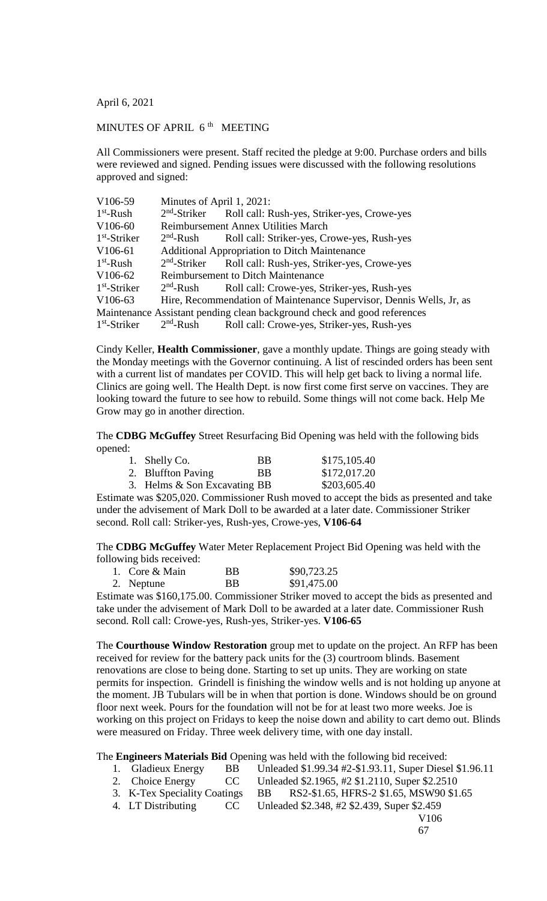April 6, 2021

## MINUTES OF APRIL 6<sup>th</sup> MEETING

All Commissioners were present. Staff recited the pledge at 9:00. Purchase orders and bills were reviewed and signed. Pending issues were discussed with the following resolutions approved and signed:

| V <sub>106</sub> -59                                                     | Minutes of April 1, 2021:                            |                                                                      |  |  |
|--------------------------------------------------------------------------|------------------------------------------------------|----------------------------------------------------------------------|--|--|
| $1st$ -Rush                                                              |                                                      | 2 <sup>nd</sup> -Striker Roll call: Rush-yes, Striker-yes, Crowe-yes |  |  |
| V <sub>106</sub> -60                                                     | <b>Reimbursement Annex Utilities March</b>           |                                                                      |  |  |
| $1st$ -Striker                                                           | $2nd$ -Rush                                          | Roll call: Striker-yes, Crowe-yes, Rush-yes                          |  |  |
| V <sub>106</sub> -61                                                     | <b>Additional Appropriation to Ditch Maintenance</b> |                                                                      |  |  |
| $1st$ -Rush                                                              | $2nd$ -Striker                                       | Roll call: Rush-yes, Striker-yes, Crowe-yes                          |  |  |
| V <sub>106</sub> -62                                                     | <b>Reimbursement to Ditch Maintenance</b>            |                                                                      |  |  |
| $1st$ -Striker                                                           | $2nd$ -Rush                                          | Roll call: Crowe-yes, Striker-yes, Rush-yes                          |  |  |
| V <sub>106</sub> -63                                                     |                                                      | Hire, Recommendation of Maintenance Supervisor, Dennis Wells, Jr, as |  |  |
| Maintenance Assistant pending clean background check and good references |                                                      |                                                                      |  |  |
| $1st$ -Striker                                                           |                                                      | 2 <sup>nd</sup> -Rush Roll call: Crowe-yes, Striker-yes, Rush-yes    |  |  |

Cindy Keller, **Health Commissioner**, gave a monthly update. Things are going steady with the Monday meetings with the Governor continuing. A list of rescinded orders has been sent with a current list of mandates per COVID. This will help get back to living a normal life. Clinics are going well. The Health Dept. is now first come first serve on vaccines. They are looking toward the future to see how to rebuild. Some things will not come back. Help Me Grow may go in another direction.

The **CDBG McGuffey** Street Resurfacing Bid Opening was held with the following bids opened:

| 1. Shelly Co.                | <b>BB</b> | \$175,105.40 |
|------------------------------|-----------|--------------|
| 2. Bluffton Paving           | -BB       | \$172,017.20 |
| 3. Helms & Son Excavating BB |           | \$203,605.40 |
|                              |           |              |

Estimate was \$205,020. Commissioner Rush moved to accept the bids as presented and take under the advisement of Mark Doll to be awarded at a later date. Commissioner Striker second. Roll call: Striker-yes, Rush-yes, Crowe-yes, **V106-64**

The **CDBG McGuffey** Water Meter Replacement Project Bid Opening was held with the following bids received:

| 1. Core & Main | <b>BB</b> | \$90,723.25 |
|----------------|-----------|-------------|
| 2. Neptune     | <b>BB</b> | \$91,475.00 |

Estimate was \$160,175.00. Commissioner Striker moved to accept the bids as presented and take under the advisement of Mark Doll to be awarded at a later date. Commissioner Rush second. Roll call: Crowe-yes, Rush-yes, Striker-yes. **V106-65**

The **Courthouse Window Restoration** group met to update on the project. An RFP has been received for review for the battery pack units for the (3) courtroom blinds. Basement renovations are close to being done. Starting to set up units. They are working on state permits for inspection. Grindell is finishing the window wells and is not holding up anyone at the moment. JB Tubulars will be in when that portion is done. Windows should be on ground floor next week. Pours for the foundation will not be for at least two more weeks. Joe is working on this project on Fridays to keep the noise down and ability to cart demo out. Blinds were measured on Friday. Three week delivery time, with one day install.

## The **Engineers Materials Bid** Opening was held with the following bid received:<br>
1. Gladieux Energy BB Unleaded \$1.99.34 #2-\$1.93.11, Super Diese<br>
2. Choice Energy CC Unleaded \$2.1965, #2 \$1.2110, Super \$2.251<br>
3. K-Tex Sp

- 
- Unleaded \$1.99.34 #2-\$1.93.11, Super Diesel \$1.96.11
- Unleaded \$2.1965, #2 \$1.2110, Super \$2.2510
- 
- 3. K-Tex Speciality Coatings BB RS2-\$1.65, HFRS-2 \$1.65, MSW90 \$1.65<br>4. LT Distributing CC Unleaded \$2.348, #2 \$2.439, Super \$2.459
- 
- CC Unleaded \$2.348, #2 \$2.439, Super \$2.459 V106
	- 67